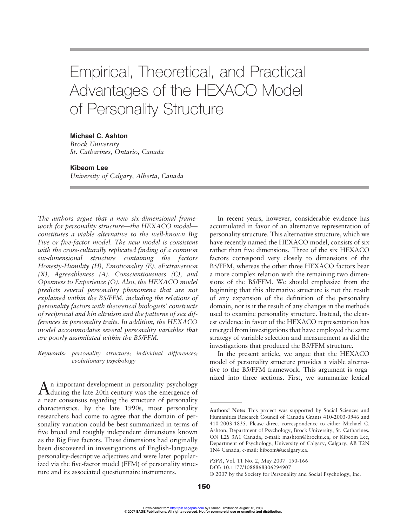# Empirical, Theoretical, and Practical Advantages of the HEXACO Model of Personality Structure

## **Michael C. Ashton**

*Brock University St. Catharines, Ontario, Canada*

#### **Kibeom Lee**

*University of Calgary, Alberta, Canada*

*The authors argue that a new six-dimensional framework for personality structure—the HEXACO model constitutes a viable alternative to the well-known Big Five or five-factor model. The new model is consistent with the cross-culturally replicated finding of a common six-dimensional structure containing the factors Honesty-Humility (H), Emotionality (E), eExtraversion (X), Agreeableness (A), Conscientiousness (C), and Openness to Experience (O). Also, the HEXACO model predicts several personality phenomena that are not explained within the B5/FFM, including the relations of personality factors with theoretical biologists' constructs of reciprocal and kin altruism and the patterns of sex differences in personality traits. In addition, the HEXACO model accommodates several personality variables that are poorly assimilated within the B5/FFM.*

*Keywords: personality structure; individual differences; evolutionary psychology*

An important development in personality psychology during the late 20th century was the emergence of a near consensus regarding the structure of personality characteristics. By the late 1990s, most personality researchers had come to agree that the domain of personality variation could be best summarized in terms of five broad and roughly independent dimensions known as the Big Five factors. These dimensions had originally been discovered in investigations of English-language personality-descriptive adjectives and were later popularized via the five-factor model (FFM) of personality structure and its associated questionnaire instruments.

In recent years, however, considerable evidence has accumulated in favor of an alternative representation of personality structure. This alternative structure, which we have recently named the HEXACO model, consists of six rather than five dimensions. Three of the six HEXACO factors correspond very closely to dimensions of the B5/FFM, whereas the other three HEXACO factors bear a more complex relation with the remaining two dimensions of the B5/FFM. We should emphasize from the beginning that this alternative structure is not the result of any expansion of the definition of the personality domain, nor is it the result of any changes in the methods used to examine personality structure. Instead, the clearest evidence in favor of the HEXACO representation has emerged from investigations that have employed the same strategy of variable selection and measurement as did the investigations that produced the B5/FFM structure.

In the present article, we argue that the HEXACO model of personality structure provides a viable alternative to the B5/FFM framework. This argument is organized into three sections. First, we summarize lexical

**Authors' Note:** This project was supported by Social Sciences and Humanities Research Council of Canada Grants 410-2003-0946 and 410-2003-1835. Please direct correspondence to either Michael C. Ashton, Department of Psychology, Brock University, St. Catharines, ON L2S 3A1 Canada, e-mail: mashton@brocku.ca, or Kibeom Lee, Department of Psychology, University of Calgary, Calgary, AB T2N 1N4 Canada, e-mail: kibeom@ucalgary.ca.

*PSPR*, Vol. 11 No. 2, May 2007 150-166

DOI: 10.1177/1088868306294907

<sup>© 2007</sup> by the Society for Personality and Social Psychology, Inc.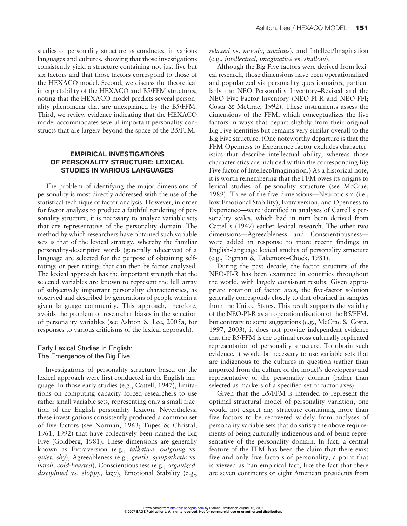studies of personality structure as conducted in various languages and cultures, showing that those investigations consistently yield a structure containing not just five but six factors and that those factors correspond to those of the HEXACO model. Second, we discuss the theoretical interpretability of the HEXACO and B5/FFM structures, noting that the HEXACO model predicts several personality phenomena that are unexplained by the B5/FFM. Third, we review evidence indicating that the HEXACO model accommodates several important personality constructs that are largely beyond the space of the B5/FFM.

## **EMPIRICAL INVESTIGATIONS OF PERSONALITY STRUCTURE: LEXICAL STUDIES IN VARIOUS LANGUAGES**

The problem of identifying the major dimensions of personality is most directly addressed with the use of the statistical technique of factor analysis. However, in order for factor analysis to produce a faithful rendering of personality structure, it is necessary to analyze variable sets that are representative of the personality domain. The method by which researchers have obtained such variable sets is that of the lexical strategy, whereby the familiar personality-descriptive words (generally adjectives) of a language are selected for the purpose of obtaining selfratings or peer ratings that can then be factor analyzed. The lexical approach has the important strength that the selected variables are known to represent the full array of subjectively important personality characteristics, as observed and described by generations of people within a given language community. This approach, therefore, avoids the problem of researcher biases in the selection of personality variables (see Ashton & Lee, 2005a, for responses to various criticisms of the lexical approach).

# Early Lexical Studies in English: The Emergence of the Big Five

Investigations of personality structure based on the lexical approach were first conducted in the English language. In those early studies (e.g., Cattell, 1947), limitations on computing capacity forced researchers to use rather small variable sets, representing only a small fraction of the English personality lexicon. Nevertheless, these investigations consistently produced a common set of five factors (see Norman, 1963; Tupes & Christal, 1961, 1992) that have collectively been named the Big Five (Goldberg, 1981). These dimensions are generally known as Extraversion (e.g., *talkative, outgoing* vs. *quiet, shy*), Agreeableness (e.g., *gentle, sympathetic* vs. *harsh, cold-hearted*), Conscientiousness (e.g., *organized, disciplined* vs. *sloppy, lazy*), Emotional Stability (e.g., *relaxed* vs. *moody, anxious*), and Intellect/Imagination (e.g., *intellectual, imaginative* vs. *shallow*).

Although the Big Five factors were derived from lexical research, those dimensions have been operationalized and popularized via personality questionnaires, particularly the NEO Personality Inventory–Revised and the NEO Five-Factor Inventory (NEO-PI-R and NEO-FFI; Costa & McCrae, 1992). These instruments assess the dimensions of the FFM, which conceptualizes the five factors in ways that depart slightly from their original Big Five identities but remains very similar overall to the Big Five structure. (One noteworthy departure is that the FFM Openness to Experience factor excludes characteristics that describe intellectual ability, whereas those characteristics are included within the corresponding Big Five factor of Intellect/Imagination.) As a historical note, it is worth remembering that the FFM owes its origins to lexical studies of personality structure (see McCrae, 1989). Three of the five dimensions—Neuroticism (i.e., low Emotional Stability), Extraversion, and Openness to Experience—were identified in analyses of Cattell's personality scales, which had in turn been derived from Cattell's (1947) earlier lexical research. The other two dimensions—Agreeableness and Conscientiousness were added in response to more recent findings in English-language lexical studies of personality structure (e.g., Digman & Takemoto-Chock, 1981).

During the past decade, the factor structure of the NEO-PI-R has been examined in countries throughout the world, with largely consistent results: Given appropriate rotation of factor axes, the five-factor solution generally corresponds closely to that obtained in samples from the United States. This result supports the validity of the NEO-PI-R as an operationalization of the B5/FFM, but contrary to some suggestions (e.g., McCrae & Costa, 1997, 2003), it does not provide independent evidence that the B5/FFM is the optimal cross-culturally replicated representation of personality structure. To obtain such evidence, it would be necessary to use variable sets that are indigenous to the cultures in question (rather than imported from the culture of the model's developers) and representative of the personality domain (rather than selected as markers of a specified set of factor axes).

Given that the B5/FFM is intended to represent the optimal structural model of personality variation, one would not expect any structure containing more than five factors to be recovered widely from analyses of personality variable sets that do satisfy the above requirements of being culturally indigenous and of being representative of the personality domain. In fact, a central feature of the FFM has been the claim that there exist five and only five factors of personality, a point that is viewed as "an empirical fact, like the fact that there are seven continents or eight American presidents from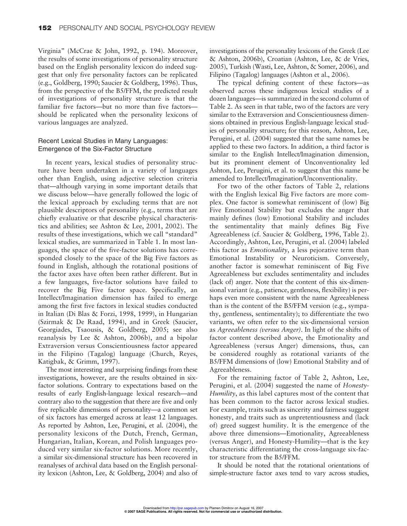Virginia" (McCrae & John, 1992, p. 194). Moreover, the results of some investigations of personality structure based on the English personality lexicon do indeed suggest that only five personality factors can be replicated (e.g., Goldberg, 1990; Saucier & Goldberg, 1996). Thus, from the perspective of the B5/FFM, the predicted result of investigations of personality structure is that the familiar five factors—but no more than five factors should be replicated when the personality lexicons of various languages are analyzed.

## Recent Lexical Studies in Many Languages: Emergence of the Six-Factor Structure

In recent years, lexical studies of personality structure have been undertaken in a variety of languages other than English, using adjective selection criteria that—although varying in some important details that we discuss below—have generally followed the logic of the lexical approach by excluding terms that are not plausible descriptors of personality (e.g., terms that are chiefly evaluative or that describe physical characteristics and abilities; see Ashton & Lee, 2001, 2002). The results of these investigations, which we call "standard" lexical studies, are summarized in Table 1. In most languages, the space of the five-factor solutions has corresponded closely to the space of the Big Five factors as found in English, although the rotational positions of the factor axes have often been rather different. But in a few languages, five-factor solutions have failed to recover the Big Five factor space. Specifically, an Intellect/Imagination dimension has failed to emerge among the first five factors in lexical studies conducted in Italian (Di Blas & Forzi, 1998, 1999), in Hungarian (Szirmak & De Raad, 1994), and in Greek (Saucier, Georgiades, Tsaousis, & Goldberg, 2005; see also reanalysis by Lee & Ashton, 2006b), and a bipolar Extraversion versus Conscientiousness factor appeared in the Filipino (Tagalog) language (Church, Reyes, Katigbak, & Grimm, 1997).

The most interesting and surprising findings from these investigations, however, are the results obtained in sixfactor solutions. Contrary to expectations based on the results of early English-language lexical research—and contrary also to the suggestion that there are five and only five replicable dimensions of personality—a common set of six factors has emerged across at least 12 languages. As reported by Ashton, Lee, Perugini, et al. (2004), the personality lexicons of the Dutch, French, German, Hungarian, Italian, Korean, and Polish languages produced very similar six-factor solutions. More recently, a similar six-dimensional structure has been recovered in reanalyses of archival data based on the English personality lexicon (Ashton, Lee, & Goldberg, 2004) and also of investigations of the personality lexicons of the Greek (Lee & Ashton, 2006b), Croatian (Ashton, Lee, & de Vries, 2005), Turkish (Wasti, Lee, Ashton, & Somer, 2006), and Filipino (Tagalog) languages (Ashton et al., 2006).

The typical defining content of these factors—as observed across these indigenous lexical studies of a dozen languages—is summarized in the second column of Table 2. As seen in that table, two of the factors are very similar to the Extraversion and Conscientiousness dimensions obtained in previous English-language lexical studies of personality structure; for this reason, Ashton, Lee, Perugini, et al. (2004) suggested that the same names be applied to these two factors. In addition, a third factor is similar to the English Intellect/Imagination dimension, but its prominent element of Unconventionality led Ashton, Lee, Perugini, et al. to suggest that this name be amended to Intellect/Imagination/Unconventionality.

For two of the other factors of Table 2, relations with the English lexical Big Five factors are more complex. One factor is somewhat reminiscent of (low) Big Five Emotional Stability but excludes the anger that mainly defines (low) Emotional Stability and includes the sentimentality that mainly defines Big Five Agreeableness (cf. Saucier & Goldberg, 1996, Table 2). Accordingly, Ashton, Lee, Perugini, et al. (2004) labeled this factor as *Emotionality*, a less pejorative term than Emotional Instability or Neuroticism. Conversely, another factor is somewhat reminiscent of Big Five Agreeableness but excludes sentimentality and includes (lack of) anger. Note that the content of this six-dimensional variant (e.g., patience, gentleness, flexibility) is perhaps even more consistent with the name Agreeableness than is the content of the B5/FFM version (e.g., sympathy, gentleness, sentimentality); to differentiate the two variants, we often refer to the six-dimensional version as *Agreeableness (versus Anger)*. In light of the shifts of factor content described above, the Emotionality and Agreeableness (versus Anger) dimensions, thus, can be considered roughly as rotational variants of the B5/FFM dimensions of (low) Emotional Stability and of Agreeableness.

For the remaining factor of Table 2, Ashton, Lee, Perugini, et al. (2004) suggested the name of *Honesty-Humility*, as this label captures most of the content that has been common to the factor across lexical studies. For example, traits such as sincerity and fairness suggest honesty, and traits such as unpretentiousness and (lack of) greed suggest humility. It is the emergence of the above three dimensions—Emotionality, Agreeableness (versus Anger), and Honesty-Humility—that is the key characteristic differentiating the cross-language six-factor structure from the B5/FFM.

It should be noted that the rotational orientations of simple-structure factor axes tend to vary across studies,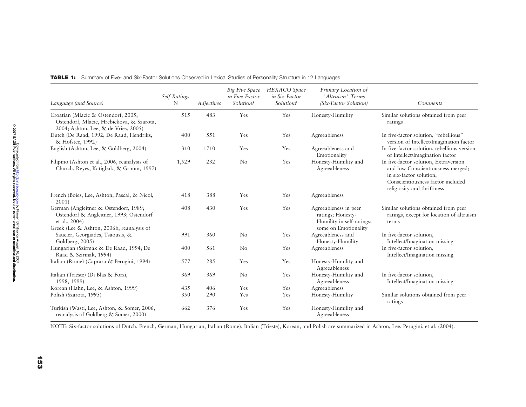| Language (and Source)                                                                                                                          | Self-Ratings<br>N | Adjectives | Big Five Space<br>in Five-Factor<br>Solution? | <b>HEXACO</b> Space<br>in Six-Factor<br>Solution? | Primary Location of<br>"Altruism" Terms<br>(Six-Factor Solution)                                | Comments                                                                                                                                                                  |
|------------------------------------------------------------------------------------------------------------------------------------------------|-------------------|------------|-----------------------------------------------|---------------------------------------------------|-------------------------------------------------------------------------------------------------|---------------------------------------------------------------------------------------------------------------------------------------------------------------------------|
| Croatian (Mlacic & Ostendorf, 2005;<br>Ostendorf, Mlacic, Hrebickova, & Szarota,<br>2004; Ashton, Lee, & de Vries, 2005)                       | 515               | 483        | Yes                                           | Yes                                               | Honesty-Humility                                                                                | Similar solutions obtained from peer<br>ratings                                                                                                                           |
| Dutch (De Raad, 1992; De Raad, Hendriks,<br>& Hofstee, 1992)                                                                                   | 400               | 551        | Yes                                           | Yes                                               | Agreeableness                                                                                   | In five-factor solution, "rebellious"<br>version of Intellect/Imagination factor                                                                                          |
| English (Ashton, Lee, & Goldberg, 2004)                                                                                                        | 310               | 1710       | Yes                                           | Yes                                               | Agreeableness and<br>Emotionality                                                               | In five-factor solution, rebellious version<br>of Intellect/Imagination factor                                                                                            |
| Filipino (Ashton et al., 2006, reanalysis of<br>Church, Reyes, Katigbak, & Grimm, 1997)                                                        | 1,529             | 232        | No                                            | Yes                                               | Honesty-Humility and<br>Agreeableness                                                           | In five-factor solution, Extraversion<br>and low Conscientiousness merged;<br>in six-factor solution,<br>Conscientiousness factor included<br>religiosity and thriftiness |
| French (Boies, Lee, Ashton, Pascal, & Nicol,<br>2001                                                                                           | 418               | 388        | Yes                                           | Yes                                               | Agreeableness                                                                                   |                                                                                                                                                                           |
| German (Angleitner & Ostendorf, 1989;<br>Ostendorf & Angleitner, 1993; Ostendorf<br>et al., 2004)<br>Greek (Lee & Ashton, 2006b, reanalysis of | 408               | 430        | Yes                                           | Yes                                               | Agreeableness in peer<br>ratings; Honesty-<br>Humility in self-ratings;<br>some on Emotionality | Similar solutions obtained from peer<br>ratings, except for location of altruism<br>terms                                                                                 |
| Saucier, Georgiades, Tsaousis, &<br>Goldberg, 2005)                                                                                            | 991               | 360        | No                                            | Yes                                               | Agreeableness and<br>Honesty-Humility                                                           | In five-factor solution,<br>Intellect/Imagination missing                                                                                                                 |
| Hungarian (Szirmak & De Raad, 1994; De<br>Raad & Szirmak, 1994)                                                                                | 400               | 561        | No                                            | Yes                                               | Agreeableness                                                                                   | In five-factor solution,<br>Intellect/Imagination missing                                                                                                                 |
| Italian (Rome) (Caprara & Perugini, 1994)                                                                                                      | 577               | 285        | Yes                                           | Yes                                               | Honesty-Humility and<br>Agreeableness                                                           |                                                                                                                                                                           |
| Italian (Trieste) (Di Blas & Forzi,<br>1998, 1999)                                                                                             | 369               | 369        | $\rm No$                                      | Yes                                               | Honesty-Humility and<br>Agreeableness                                                           | In five-factor solution,<br>Intellect/Imagination missing                                                                                                                 |
| Korean (Hahn, Lee, & Ashton, 1999)                                                                                                             | 435               | 406        | Yes                                           | Yes                                               | Agreeableness                                                                                   |                                                                                                                                                                           |
| Polish (Szarota, 1995)                                                                                                                         | 350               | 290        | Yes                                           | Yes                                               | Honesty-Humility                                                                                | Similar solutions obtained from peer<br>ratings                                                                                                                           |
| Turkish (Wasti, Lee, Ashton, & Somer, 2006,<br>reanalysis of Goldberg & Somer, 2000)                                                           | 662               | 376        | Yes                                           | Yes                                               | Honesty-Humility and<br>Agreeableness                                                           |                                                                                                                                                                           |

TABLE 1: Summary of Five- and Six-Factor Solutions Observed in Lexical Studies of Personality Structure in 12 Languages

NOTE: Six-factor solutions of Dutch, French, German, Hungarian, Italian (Rome), Italian (Trieste), Korean, and Polish are summarized in Ashton, Lee, Perugini, et al. (2004).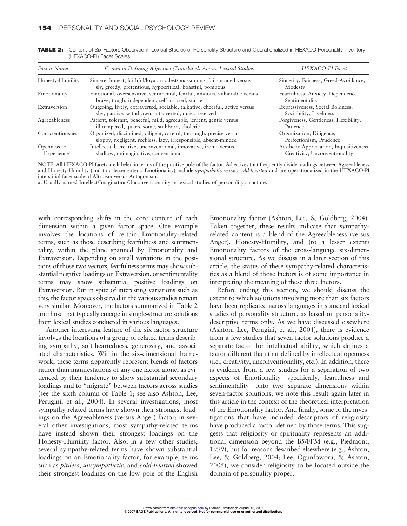| Factor Name                            | Common Defining Adjective (Translated) Across Lexical Studies                                                                          | HEXACO-PI Facet                                                           |
|----------------------------------------|----------------------------------------------------------------------------------------------------------------------------------------|---------------------------------------------------------------------------|
| Honesty-Humility                       | Sincere, honest, faithful/loyal, modest/unassuming, fair-minded versus<br>sly, greedy, pretentious, hypocritical, boastful, pompous    | Sincerity, Fairness, Greed-Avoidance,<br>Modesty                          |
| Emotionality                           | Emotional, oversensitive, sentimental, fearful, anxious, vulnerable versus<br>brave, tough, independent, self-assured, stable          | Fearfulness, Anxiety, Dependence,<br>Sentimentality                       |
| Extraversion                           | Outgoing, lively, extraverted, sociable, talkative, cheerful, active versus<br>shy, passive, withdrawn, introverted, quiet, reserved   | Expressiveness, Social Boldness,<br>Sociability, Liveliness               |
| Agreeableness                          | Patient, tolerant, peaceful, mild, agreeable, lenient, gentle versus<br>ill-tempered, quarrelsome, stubborn, choleric                  | Forgiveness, Gentleness, Flexibility,<br>Patience                         |
| Conscientiousness                      | Organized, disciplined, diligent, careful, thorough, precise versus<br>sloppy, negligent, reckless, lazy, irresponsible, absent-minded | Organization, Diligence,<br>Perfectionism, Prudence                       |
| Openness to<br>Experience <sup>a</sup> | Intellectual, creative, unconventional, innovative, ironic versus<br>shallow, unimaginative, conventional                              | Aesthetic Appreciation, Inquisitiveness,<br>Creativity, Unconventionality |

TABLE 2: Content of Six Factors Observed in Lexical Studies of Personality Structure and Operationalized in HEXACO Personality Inventory (HEXACO-PI) Facet Scales

NOTE: All HEXACO-PI facets are labeled in terms of the positive pole of the factor. Adjectives that frequently divide loadings between Agreeableness and Honesty-Humility (and to a lesser extent, Emotionality) include *sympathetic* versus *cold-hearted* and are operationalized in the HEXACO-PI interstitial facet scale of Altruism versus Antagonism.

a. Usually named Intellect/Imagination/Unconventionality in lexical studies of personality structure.

with corresponding shifts in the core content of each dimension within a given factor space. One example involves the locations of certain Emotionality-related terms, such as those describing fearfulness and sentimentality, within the plane spanned by Emotionality and Extraversion. Depending on small variations in the positions of those two vectors, fearfulness terms may show substantial negative loadings on Extraversion, or sentimentality terms may show substantial positive loadings on Extraversion. But in spite of interesting variations such as this, the factor spaces observed in the various studies remain very similar. Moreover, the factors summarized in Table 2 are those that typically emerge in simple-structure solutions from lexical studies conducted in various languages.

Another interesting feature of the six-factor structure involves the locations of a group of related terms describing sympathy, soft-heartedness, generosity, and associated characteristics. Within the six-dimensional framework, these terms apparently represent blends of factors rather than manifestations of any one factor alone, as evidenced by their tendency to show substantial secondary loadings and to "migrate" between factors across studies (see the sixth column of Table 1; see also Ashton, Lee, Perugini, et al., 2004). In several investigations, most sympathy-related terms have shown their strongest loadings on the Agreeableness (versus Anger) factor; in several other investigations, most sympathy-related terms have instead shown their strongest loadings on the Honesty-Humility factor. Also, in a few other studies, several sympathy-related terms have shown substantial loadings on an Emotionality factor; for example, terms such as *pitiless*, *unsympathetic*, and *cold-hearted* showed their strongest loadings on the low pole of the English

Emotionality factor (Ashton, Lee, & Goldberg, 2004). Taken together, these results indicate that sympathyrelated content is a blend of the Agreeableness (versus Anger), Honesty-Humility, and (to a lesser extent) Emotionality factors of the cross-language six-dimensional structure. As we discuss in a later section of this article, the status of these sympathy-related characteristics as a blend of those factors is of some importance in interpreting the meaning of these three factors.

Before ending this section, we should discuss the extent to which solutions involving more than six factors have been replicated across languages in standard lexical studies of personality structure, as based on personalitydescriptive terms only. As we have discussed elsewhere (Ashton, Lee, Perugini, et al., 2004), there is evidence from a few studies that seven-factor solutions produce a separate factor for intellectual ability, which defines a factor different than that defined by intellectual openness (i.e., creativity, unconventionality, etc.). In addition, there is evidence from a few studies for a separation of two aspects of Emotionality—specifically, fearfulness and sentimentality—onto two separate dimensions within seven-factor solutions; we note this result again later in this article in the context of the theoretical interpretation of the Emotionality factor. And finally, some of the investigations that have included descriptors of religiosity have produced a factor defined by those terms. This suggests that religiosity or spirituality represents an additional dimension beyond the B5/FFM (e.g., Piedmont, 1999), but for reasons described elsewhere (e.g., Ashton, Lee, & Goldberg, 2004; Lee, Ogunfowora, & Ashton, 2005), we consider religiosity to be located outside the domain of personality proper.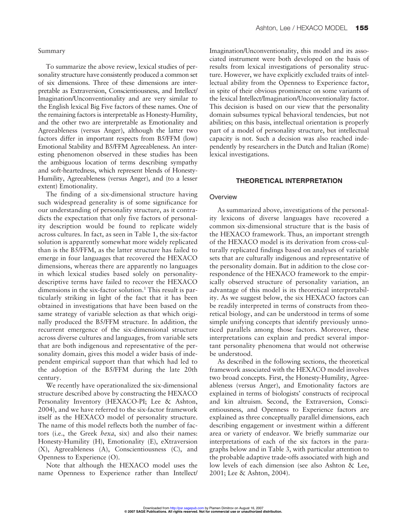#### Summary

To summarize the above review, lexical studies of personality structure have consistently produced a common set of six dimensions. Three of these dimensions are interpretable as Extraversion, Conscientiousness, and Intellect/ Imagination/Unconventionality and are very similar to the English lexical Big Five factors of these names. One of the remaining factors is interpretable as Honesty-Humility, and the other two are interpretable as Emotionality and Agreeableness (versus Anger), although the latter two factors differ in important respects from B5/FFM (low) Emotional Stability and B5/FFM Agreeableness. An interesting phenomenon observed in these studies has been the ambiguous location of terms describing sympathy and soft-heartedness, which represent blends of Honesty-Humility, Agreeableness (versus Anger), and (to a lesser extent) Emotionality.

The finding of a six-dimensional structure having such widespread generality is of some significance for our understanding of personality structure, as it contradicts the expectation that only five factors of personality description would be found to replicate widely across cultures. In fact, as seen in Table 1, the six-factor solution is apparently somewhat more widely replicated than is the B5/FFM, as the latter structure has failed to emerge in four languages that recovered the HEXACO dimensions, whereas there are apparently no languages in which lexical studies based solely on personalitydescriptive terms have failed to recover the HEXACO dimensions in the six-factor solution.<sup>1</sup> This result is particularly striking in light of the fact that it has been obtained in investigations that have been based on the same strategy of variable selection as that which originally produced the B5/FFM structure. In addition, the recurrent emergence of the six-dimensional structure across diverse cultures and languages, from variable sets that are both indigenous and representative of the personality domain, gives this model a wider basis of independent empirical support than that which had led to the adoption of the B5/FFM during the late 20th century.

We recently have operationalized the six-dimensional structure described above by constructing the HEXACO Personality Inventory (HEXACO-PI; Lee & Ashton, 2004), and we have referred to the six-factor framework itself as the HEXACO model of personality structure. The name of this model reflects both the number of factors (i.e., the Greek *hexa*, six) and also their names: Honesty-Humility (H), Emotionality (E), eXtraversion (X), Agreeableness (A), Conscientiousness (C), and Openness to Experience (O).

Note that although the HEXACO model uses the name Openness to Experience rather than Intellect/ Imagination/Unconventionality, this model and its associated instrument were both developed on the basis of results from lexical investigations of personality structure. However, we have explicitly excluded traits of intellectual ability from the Openness to Experience factor, in spite of their obvious prominence on some variants of the lexical Intellect/Imagination/Unconventionality factor. This decision is based on our view that the personality domain subsumes typical behavioral tendencies, but not abilities; on this basis, intellectual orientation is properly part of a model of personality structure, but intellectual capacity is not. Such a decision was also reached independently by researchers in the Dutch and Italian (Rome) lexical investigations.

#### **THEORETICAL INTERPRETATION**

### **Overview**

As summarized above, investigations of the personality lexicons of diverse languages have recovered a common six-dimensional structure that is the basis of the HEXACO framework. Thus, an important strength of the HEXACO model is its derivation from cross-culturally replicated findings based on analyses of variable sets that are culturally indigenous and representative of the personality domain. But in addition to the close correspondence of the HEXACO framework to the empirically observed structure of personality variation, an advantage of this model is its theoretical interpretability. As we suggest below, the six HEXACO factors can be readily interpreted in terms of constructs from theoretical biology, and can be understood in terms of some simple unifying concepts that identify previously unnoticed parallels among those factors. Moreover, these interpretations can explain and predict several important personality phenomena that would not otherwise be understood.

As described in the following sections, the theoretical framework associated with the HEXACO model involves two broad concepts. First, the Honesty-Humility, Agreeableness (versus Anger), and Emotionality factors are explained in terms of biologists' constructs of reciprocal and kin altruism. Second, the Extraversion, Conscientiousness, and Openness to Experience factors are explained as three conceptually parallel dimensions, each describing engagement or investment within a different area or variety of endeavor. We briefly summarize our interpretations of each of the six factors in the paragraphs below and in Table 3, with particular attention to the probable adaptive trade-offs associated with high and low levels of each dimension (see also Ashton & Lee, 2001; Lee & Ashton, 2004).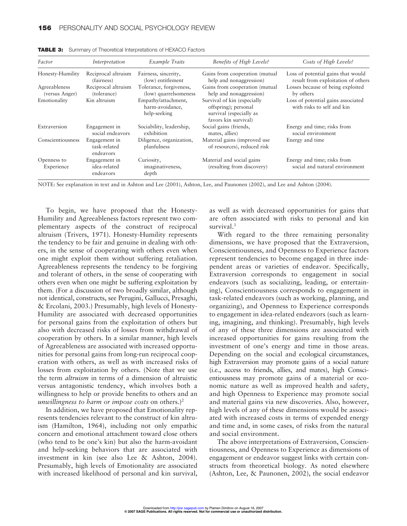| Factor                          | Interpretation                             | Example Traits                                         | Benefits of High Levels?                                                                               | Costs of High Levels?                                                    |
|---------------------------------|--------------------------------------------|--------------------------------------------------------|--------------------------------------------------------------------------------------------------------|--------------------------------------------------------------------------|
| Honesty-Humility                | Reciprocal altruism<br>(fairness)          | Fairness, sincerity,<br>(low) entitlement              | Gains from cooperation (mutual<br>help and nonaggression)                                              | Loss of potential gains that would<br>result from exploitation of others |
| Agreeableness<br>(versus Anger) | Reciprocal altruism<br>(tolerance)         | Tolerance, forgiveness,<br>(low) quarrelsomeness       | Gains from cooperation (mutual<br>help and nonaggression)                                              | Losses because of being exploited<br>by others                           |
| Emotionality                    | Kin altruism                               | Empathy/attachment,<br>harm-avoidance,<br>help-seeking | Survival of kin (especially<br>offspring); personal<br>survival (especially as<br>favors kin survival) | Loss of potential gains associated<br>with risks to self and kin         |
| Extraversion                    | Engagement in<br>social endeavors          | Sociability, leadership,<br>exhibition                 | Social gains (friends,<br>mates, allies)                                                               | Energy and time; risks from<br>social environment                        |
| Conscientiousness               | Engagement in<br>task-related<br>endeavors | Diligence, organization,<br>planfulness                | Material gains (improved use<br>of resources), reduced risk                                            | Energy and time                                                          |
| Openness to<br>Experience       | Engagement in<br>idea-related<br>endeavors | Curiosity,<br>imaginativeness,<br>depth                | Material and social gains<br>(resulting from discovery)                                                | Energy and time; risks from<br>social and natural environment            |

**TABLE 3:** Summary of Theoretical Interpretations of HEXACO Factors

NOTE: See explanation in text and in Ashton and Lee (2001), Ashton, Lee, and Paunonen (2002), and Lee and Ashton (2004).

To begin, we have proposed that the Honesty-Humility and Agreeableness factors represent two complementary aspects of the construct of reciprocal altruism (Trivers, 1971). Honesty-Humility represents the tendency to be fair and genuine in dealing with others, in the sense of cooperating with others even when one might exploit them without suffering retaliation. Agreeableness represents the tendency to be forgiving and tolerant of others, in the sense of cooperating with others even when one might be suffering exploitation by them. (For a discussion of two broadly similar, although not identical, constructs, see Perugini, Gallucci, Presaghi, & Ercolani, 2003.) Presumably, high levels of Honesty-Humility are associated with decreased opportunities for personal gains from the exploitation of others but also with decreased risks of losses from withdrawal of cooperation by others. In a similar manner, high levels of Agreeableness are associated with increased opportunities for personal gains from long-run reciprocal cooperation with others, as well as with increased risks of losses from exploitation by others. (Note that we use the term *altruism* in terms of a dimension of altruistic versus antagonistic tendency, which involves both a willingness to help or provide benefits to others and an *unwillingness to harm or impose costs* on others.)2

In addition, we have proposed that Emotionality represents tendencies relevant to the construct of kin altruism (Hamilton, 1964), including not only empathic concern and emotional attachment toward close others (who tend to be one's kin) but also the harm-avoidant and help-seeking behaviors that are associated with investment in kin (see also Lee & Ashton, 2004). Presumably, high levels of Emotionality are associated with increased likelihood of personal and kin survival, as well as with decreased opportunities for gains that are often associated with risks to personal and kin survival.<sup>3</sup>

With regard to the three remaining personality dimensions, we have proposed that the Extraversion, Conscientiousness, and Openness to Experience factors represent tendencies to become engaged in three independent areas or varieties of endeavor. Specifically, Extraversion corresponds to engagement in social endeavors (such as socializing, leading, or entertaining), Conscientiousness corresponds to engagement in task-related endeavors (such as working, planning, and organizing), and Openness to Experience corresponds to engagement in idea-related endeavors (such as learning, imagining, and thinking). Presumably, high levels of any of these three dimensions are associated with increased opportunities for gains resulting from the investment of one's energy and time in those areas. Depending on the social and ecological circumstances, high Extraversion may promote gains of a social nature (i.e., access to friends, allies, and mates), high Conscientiousness may promote gains of a material or economic nature as well as improved health and safety, and high Openness to Experience may promote social and material gains via new discoveries. Also, however, high levels of any of these dimensions would be associated with increased costs in terms of expended energy and time and, in some cases, of risks from the natural and social environment.

The above interpretations of Extraversion, Conscientiousness, and Openness to Experience as dimensions of engagement or endeavor suggest links with certain constructs from theoretical biology. As noted elsewhere (Ashton, Lee, & Paunonen, 2002), the social endeavor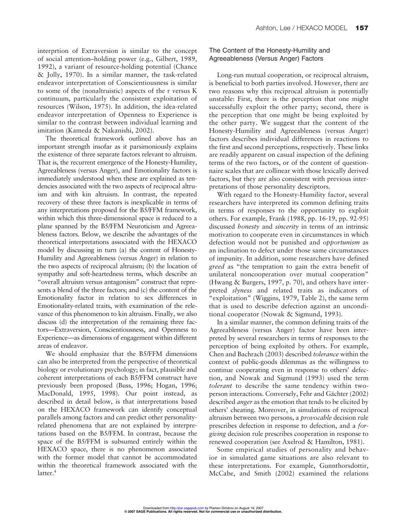interprtion of Extraversion is similar to the concept of social attention–holding power (e.g., Gilbert, 1989, 1992), a variant of resource-holding potential (Chance & Jolly, 1970). In a similar manner, the task-related endeavor interpretation of Conscientiousness is similar to some of the (nonaltruistic) aspects of the r versus K continuum, particularly the consistent exploitation of resources (Wilson, 1975). In addition, the idea-related endeavor interpretation of Openness to Experience is similar to the contrast between individual learning and imitation (Kameda & Nakanishi, 2002).

The theoretical framework outlined above has an important strength insofar as it parsimoniously explains the existence of three separate factors relevant to altruism. That is, the recurrent emergence of the Honesty-Humility, Agreeableness (versus Anger), and Emotionality factors is immediately understood when these are explained as tendencies associated with the two aspects of reciprocal altruism and with kin altruism. In contrast, the repeated recovery of these three factors is inexplicable in terms of any interpretations proposed for the B5/FFM framework, within which this three-dimensional space is reduced to a plane spanned by the B5/FFM Neuroticism and Agreeableness factors. Below, we describe the advantages of the theoretical interpretations associated with the HEXACO model by discussing in turn (a) the content of Honesty-Humility and Agreeableness (versus Anger) in relation to the two aspects of reciprocal altruism; (b) the location of sympathy and soft-heartedness terms, which describe an "overall altruism versus antagonism" construct that represents a blend of the three factors; and (c) the content of the Emotionality factor in relation to sex differences in Emotionality-related traits, with examination of the relevance of this phenomenon to kin altruism. Finally, we also discuss (d) the interpretation of the remaining three factors—Extraversion, Conscientiousness, and Openness to Experience—as dimensions of engagement within different areas of endeavor.

We should emphasize that the B5/FFM dimensions can also be interpreted from the perspective of theoretical biology or evolutionary psychology; in fact, plausible and coherent interpretations of each B5/FFM construct have previously been proposed (Buss, 1996; Hogan, 1996; MacDonald, 1995, 1998). Our point instead, as described in detail below, is that interpretations based on the HEXACO framework can identify conceptual parallels among factors and can predict other personalityrelated phenomena that are not explained by interpretations based on the B5/FFM. In contrast, because the space of the B5/FFM is subsumed entirely within the HEXACO space, there is no phenomenon associated with the former model that cannot be accommodated within the theoretical framework associated with the latter.<sup>4</sup>

# The Content of the Honesty-Humility and Agreeableness (Versus Anger) Factors

Long-run mutual cooperation, or reciprocal altruism, is beneficial to both parties involved. However, there are two reasons why this reciprocal altruism is potentially unstable: First, there is the perception that one might successfully exploit the other party; second, there is the perception that one might be being exploited by the other party. We suggest that the content of the Honesty-Humility and Agreeableness (versus Anger) factors describes individual differences in reactions to the first and second perceptions, respectively. These links are readily apparent on casual inspection of the defining terms of the two factors, or of the content of questionnaire scales that are collinear with those lexically derived factors, but they are also consistent with previous interpretations of those personality descriptors.

With regard to the Honesty-Humility factor, several researchers have interpreted its common defining traits in terms of responses to the opportunity to exploit others. For example, Frank (1988, pp. 16-19, pp. 92-95) discussed *honesty* and *sincerity* in terms of an intrinsic motivation to cooperate even in circumstances in which defection would not be punished and *opportunism* as an inclination to defect under those same circumstances of impunity. In addition, some researchers have defined *greed* as "the temptation to gain the extra benefit of unilateral noncooperation over mutual cooperation" (Hwang & Burgers, 1997, p. 70), and others have interpreted *slyness* and related traits as indicators of "exploitation" (Wiggins, 1979, Table 2), the same term that is used to describe defection against an unconditional cooperator (Nowak & Sigmund, 1993).

In a similar manner, the common defining traits of the Agreeableness (versus Anger) factor have been interpreted by several researchers in terms of responses to the perception of being exploited by others. For example, Chen and Bachrach (2003) described *tolerance* within the context of public-goods dilemmas as the willingness to continue cooperating even in response to others' defection, and Nowak and Sigmund (1993) used the term *tolerant* to describe the same tendency within twoperson interactions. Conversely, Fehr and Gächter (2002) described *anger* as the emotion that tends to be elicited by others' cheating. Moreover, in simulations of reciprocal altruism between two persons, a *provocable* decision rule prescribes defection in response to defection, and a *forgiving* decision rule prescribes cooperation in response to renewed cooperation (see Axelrod & Hamilton, 1981).

Some empirical studies of personality and behavior in simulated game situations are also relevant to these interpretations. For example, Gunnthorsdottir, McCabe, and Smith (2002) examined the relations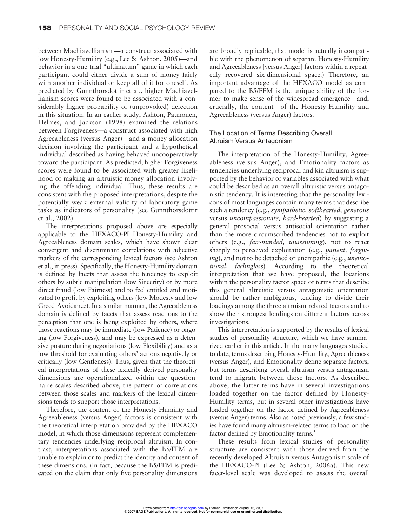between Machiavellianism—a construct associated with low Honesty-Humility (e.g., Lee & Ashton, 2005)—and behavior in a one-trial "ultimatum" game in which each participant could either divide a sum of money fairly with another individual or keep all of it for oneself. As predicted by Gunnthorsdottir et al., higher Machiavellianism scores were found to be associated with a considerably higher probability of (unprovoked) defection in this situation. In an earlier study, Ashton, Paunonen, Helmes, and Jackson (1998) examined the relations between Forgiveness—a construct associated with high Agreeableness (versus Anger)—and a money allocation decision involving the participant and a hypothetical individual described as having behaved uncooperatively toward the participant. As predicted, higher Forgiveness scores were found to be associated with greater likelihood of making an altruistic money allocation involving the offending individual. Thus, these results are consistent with the proposed interpretations, despite the potentially weak external validity of laboratory game tasks as indicators of personality (see Gunnthorsdottir et al., 2002).

The interpretations proposed above are especially applicable to the HEXACO-PI Honesty-Humility and Agreeableness domain scales, which have shown clear convergent and discriminant correlations with adjective markers of the corresponding lexical factors (see Ashton et al., in press). Specifically, the Honesty-Humility domain is defined by facets that assess the tendency to exploit others by subtle manipulation (low Sincerity) or by more direct fraud (low Fairness) and to feel entitled and motivated to profit by exploiting others (low Modesty and low Greed-Avoidance). In a similar manner, the Agreeableness domain is defined by facets that assess reactions to the perception that one is being exploited by others, where those reactions may be immediate (low Patience) or ongoing (low Forgiveness), and may be expressed as a defensive posture during negotiations (low Flexibility) and as a low threshold for evaluating others' actions negatively or critically (low Gentleness). Thus, given that the theoretical interpretations of these lexically derived personality dimensions are operationalized within the questionnaire scales described above, the pattern of correlations between those scales and markers of the lexical dimensions tends to support those interpretations.

Therefore, the content of the Honesty-Humility and Agreeableness (versus Anger) factors is consistent with the theoretical interpretation provided by the HEXACO model, in which those dimensions represent complementary tendencies underlying reciprocal altruism. In contrast, interpretations associated with the B5/FFM are unable to explain or to predict the identity and content of these dimensions. (In fact, because the B5/FFM is predicated on the claim that only five personality dimensions are broadly replicable, that model is actually incompatible with the phenomenon of separate Honesty-Humility and Agreeableness [versus Anger] factors within a repeatedly recovered six-dimensional space.) Therefore, an important advantage of the HEXACO model as compared to the B5/FFM is the unique ability of the former to make sense of the widespread emergence—and, crucially, the content—of the Honesty-Humility and Agreeableness (versus Anger) factors.

# The Location of Terms Describing Overall Altruism Versus Antagonism

The interpretation of the Honesty-Humility, Agreeableness (versus Anger), and Emotionality factors as tendencies underlying reciprocal and kin altruism is supported by the behavior of variables associated with what could be described as an overall altruistic versus antagonistic tendency. It is interesting that the personality lexicons of most languages contain many terms that describe such a tendency (e.g., *sympathetic, softhearted, generous* versus *uncompassionate, hard-hearted*) by suggesting a general prosocial versus antisocial orientation rather than the more circumscribed tendencies not to exploit others (e.g., *fair-minded, unassuming*), not to react sharply to perceived exploitation (e.g., *patient, forgiving*), and not to be detached or unempathic (e.g., *unemotional, feelingless*). According to the theoretical interpretation that we have proposed, the locations within the personality factor space of terms that describe this general altruistic versus antagonistic orientation should be rather ambiguous, tending to divide their loadings among the three altruism-related factors and to show their strongest loadings on different factors across investigations.

This interpretation is supported by the results of lexical studies of personality structure, which we have summarized earlier in this article. In the many languages studied to date, terms describing Honesty-Humility, Agreeableness (versus Anger), and Emotionality define separate factors, but terms describing overall altruism versus antagonism tend to migrate between those factors. As described above, the latter terms have in several investigations loaded together on the factor defined by Honesty-Humility terms, but in several other investigations have loaded together on the factor defined by Agreeableness (versus Anger) terms. Also as noted previously, a few studies have found many altruism-related terms to load on the factor defined by Emotionality terms.<sup>5</sup>

These results from lexical studies of personality structure are consistent with those derived from the recently developed Altruism versus Antagonism scale of the HEXACO-PI (Lee & Ashton, 2006a). This new facet-level scale was developed to assess the overall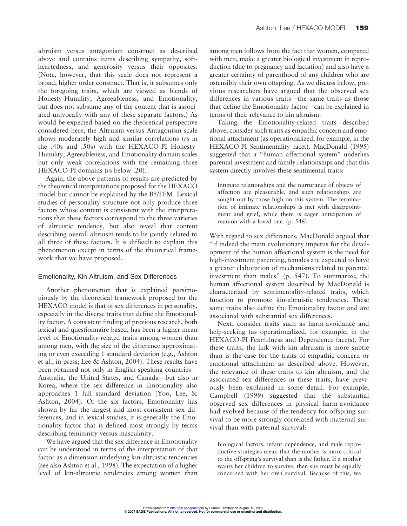altruism versus antagonism construct as described above and contains items describing sympathy, softheartedness, and generosity versus their opposites. (Note, however, that this scale does not represent a broad, higher order construct. That is, it subsumes only the foregoing traits, which are viewed as blends of Honesty-Humility, Agreeableness, and Emotionality, but does not subsume any of the content that is associated univocally with any of these separate factors.) As would be expected based on the theoretical perspective considered here, the Altruism versus Antagonism scale shows moderately high and similar correlations (*r*s in the .40s and .50s) with the HEXACO-PI Honesty-Humility, Agreeableness, and Emotionality domain scales but only weak correlations with the remaining three HEXACO-PI domains (*r*s below .20).

Again, the above patterns of results are predicted by the theoretical interpretations proposed for the HEXACO model but cannot be explained by the B5/FFM. Lexical studies of personality structure not only produce three factors whose content is consistent with the interpretations that these factors correspond to the three varieties of altruistic tendency, but also reveal that content describing overall altruism tends to be jointly related to all three of these factors. It is difficult to explain this phenomenon except in terms of the theoretical framework that we have proposed.

#### Emotionality, Kin Altruism, and Sex Differences

Another phenomenon that is explained parsimoniously by the theoretical framework proposed for the HEXACO model is that of sex differences in personality, especially in the diverse traits that define the Emotionality factor. A consistent finding of previous research, both lexical and questionnaire based, has been a higher mean level of Emotionality-related traits among women than among men, with the size of the difference approximating or even exceeding 1 standard deviation (e.g., Ashton et al., in press; Lee & Ashton, 2004). These results have been obtained not only in English-speaking countries— Australia, the United States, and Canada—but also in Korea, where the sex difference in Emotionality also approaches 1 full standard deviation (Yoo, Lee, & Ashton, 2004). Of the six factors, Emotionality has shown by far the largest and most consistent sex differences, and in lexical studies, it is generally the Emotionality factor that is defined most strongly by terms describing femininity versus masculinity.

We have argued that the sex difference in Emotionality can be understood in terms of the interpretation of that factor as a dimension underlying kin-altruistic tendencies (see also Ashton et al., 1998). The expectation of a higher level of kin-altruistic tendencies among women than among men follows from the fact that women, compared with men, make a greater biological investment in reproduction (due to pregnancy and lactation) and also have a greater certainty of parenthood of any children who are ostensibly their own offspring. As we discuss below, previous researchers have argued that the observed sex differences in various traits—the same traits as those that define the Emotionality factor—can be explained in terms of their relevance to kin altruism.

Taking the Emotionality-related traits described above, consider such traits as empathic concern and emotional attachment (as operationalized, for example, in the HEXACO-PI Sentimentality facet). MacDonald (1995) suggested that a "human affectional system" underlies parental investment and family relationships and that this system directly involves these sentimental traits:

Intimate relationships and the nurturance of objects of affection are pleasurable, and such relationships are sought out by those high on this system. The termination of intimate relationships is met with disappointment and grief, while there is eager anticipation of reunion with a loved one. (p. 546)

With regard to sex differences, MacDonald argued that "if indeed the main evolutionary impetus for the development of the human affectional system is the need for high-investment parenting, females are expected to have a greater elaboration of mechanisms related to parental investment than males" (p. 547). To summarize, the human affectional system described by MacDonald is characterized by sentimentality-related traits, which function to promote kin-altruistic tendencies. These same traits also define the Emotionality factor and are associated with substantial sex differences.

Next, consider traits such as harm-avoidance and help-seeking (as operationalized, for example, in the HEXACO-PI Fearfulness and Dependence facets). For these traits, the link with kin altruism is more subtle than is the case for the traits of empathic concern or emotional attachment as described above. However, the relevance of these traits to kin altruism, and the associated sex differences in these traits, have previously been explained in some detail. For example, Campbell (1999) suggested that the substantial observed sex differences in physical harm-avoidance had evolved because of the tendency for offspring survival to be more strongly correlated with maternal survival than with paternal survival:

Biological factors, infant dependence, and male reproductive strategies mean that the mother is more critical to the offspring's survival than is the father. If a mother wants her children to survive, then she must be equally concerned with her own survival. Because of this, we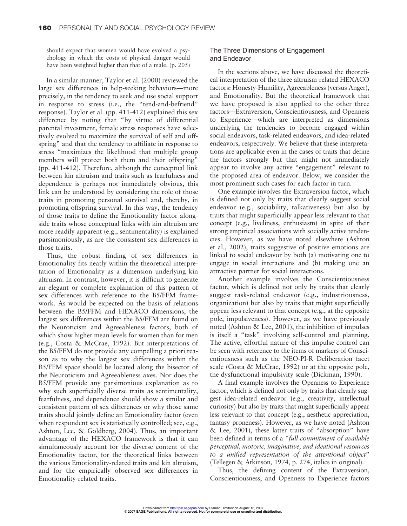should expect that women would have evolved a psychology in which the costs of physical danger would have been weighted higher than that of a male. (p. 205)

In a similar manner, Taylor et al. (2000) reviewed the large sex differences in help-seeking behaviors—more precisely, in the tendency to seek and use social support in response to stress (i.e., the "tend-and-befriend" response). Taylor et al. (pp. 411-412) explained this sex difference by noting that "by virtue of differential parental investment, female stress responses have selectively evolved to maximize the survival of self and offspring" and that the tendency to affiliate in response to stress "maximizes the likelihood that multiple group members will protect both them and their offspring" (pp. 411-412). Therefore, although the conceptual link between kin altruism and traits such as fearfulness and dependence is perhaps not immediately obvious, this link can be understood by considering the role of those traits in promoting personal survival and, thereby, in promoting offspring survival. In this way, the tendency of those traits to define the Emotionality factor alongside traits whose conceptual links with kin altruism are more readily apparent (e.g., sentimentality) is explained parsimoniously, as are the consistent sex differences in those traits.

Thus, the robust finding of sex differences in Emotionality fits neatly within the theoretical interpretation of Emotionality as a dimension underlying kin altruism. In contrast, however, it is difficult to generate an elegant or complete explanation of this pattern of sex differences with reference to the B5/FFM framework. As would be expected on the basis of relations between the B5/FFM and HEXACO dimensions, the largest sex differences within the B5/FFM are found on the Neuroticism and Agreeableness factors, both of which show higher mean levels for women than for men (e.g., Costa & McCrae, 1992). But interpretations of the B5/FFM do not provide any compelling a priori reason as to why the largest sex differences within the B5/FFM space should be located along the bisector of the Neuroticism and Agreeableness axes. Nor does the B5/FFM provide any parsimonious explanation as to why such superficially diverse traits as sentimentality, fearfulness, and dependence should show a similar and consistent pattern of sex differences or why those same traits should jointly define an Emotionality factor (even when respondent sex is statistically controlled; see, e.g., Ashton, Lee, & Goldberg, 2004). Thus, an important advantage of the HEXACO framework is that it can simultaneously account for the diverse content of the Emotionality factor, for the theoretical links between the various Emotionality-related traits and kin altruism, and for the empirically observed sex differences in Emotionality-related traits.

## The Three Dimensions of Engagement and Endeavor

In the sections above, we have discussed the theoretical interpretation of the three altruism-related HEXACO factors: Honesty-Humility, Agreeableness (versus Anger), and Emotionality. But the theoretical framework that we have proposed is also applied to the other three factors—Extraversion, Conscientiousness, and Openness to Experience—which are interpreted as dimensions underlying the tendencies to become engaged within social endeavors, task-related endeavors, and idea-related endeavors, respectively. We believe that these interpretations are applicable even in the cases of traits that define the factors strongly but that might not immediately appear to involve any active "engagement" relevant to the proposed area of endeavor. Below, we consider the most prominent such cases for each factor in turn.

One example involves the Extraversion factor, which is defined not only by traits that clearly suggest social endeavor (e.g., sociability, talkativeness) but also by traits that might superficially appear less relevant to that concept (e.g., liveliness, enthusiasm) in spite of their strong empirical associations with socially active tendencies. However, as we have noted elsewhere (Ashton et al., 2002), traits suggestive of positive emotions are linked to social endeavor by both (a) motivating one to engage in social interactions and (b) making one an attractive partner for social interactions.

Another example involves the Conscientiousness factor, which is defined not only by traits that clearly suggest task-related endeavor (e.g., industriousness, organization) but also by traits that might superficially appear less relevant to that concept (e.g., at the opposite pole, impulsiveness). However, as we have previously noted (Ashton & Lee, 2001), the inhibition of impulses is itself a "task" involving self-control and planning. The active, effortful nature of this impulse control can be seen with reference to the items of markers of Conscientiousness such as the NEO-PI-R Deliberation facet scale (Costa & McCrae, 1992) or at the opposite pole, the dysfunctional impulsivity scale (Dickman, 1990).

A final example involves the Openness to Experience factor, which is defined not only by traits that clearly suggest idea-related endeavor (e.g., creativity, intellectual curiosity) but also by traits that might superficially appear less relevant to that concept (e.g., aesthetic appreciation, fantasy proneness). However, as we have noted (Ashton & Lee, 2001), these latter traits of "absorption" have been defined in terms of a *"full commitment of available perceptual, motoric, imaginative, and ideational resources to a unified representation of the attentional object*" (Tellegen & Atkinson, 1974, p. 274, italics in original).

Thus, the defining content of the Extraversion, Conscientiousness, and Openness to Experience factors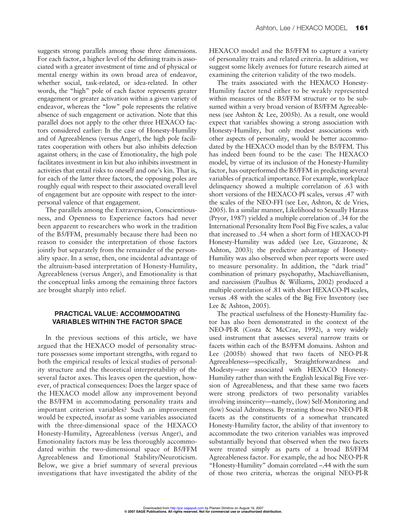suggests strong parallels among those three dimensions. For each factor, a higher level of the defining traits is associated with a greater investment of time and of physical or mental energy within its own broad area of endeavor, whether social, task-related, or idea-related. In other words, the "high" pole of each factor represents greater engagement or greater activation within a given variety of endeavor, whereas the "low" pole represents the relative absence of such engagement or activation. Note that this parallel does not apply to the other three HEXACO factors considered earlier: In the case of Honesty-Humility and of Agreeableness (versus Anger), the high pole facilitates cooperation with others but also inhibits defection against others; in the case of Emotionality, the high pole facilitates investment in kin but also inhibits investment in activities that entail risks to oneself and one's kin. That is, for each of the latter three factors, the opposing poles are roughly equal with respect to their associated overall level of engagement but are opposite with respect to the interpersonal valence of that engagement.

The parallels among the Extraversion, Conscientiousness, and Openness to Experience factors had never been apparent to researchers who work in the tradition of the B5/FFM, presumably because there had been no reason to consider the interpretation of those factors jointly but separately from the remainder of the personality space. In a sense, then, one incidental advantage of the altruism-based interpretation of Honesty-Humility, Agreeableness (versus Anger), and Emotionality is that the conceptual links among the remaining three factors are brought sharply into relief.

## **PRACTICAL VALUE: ACCOMMODATING VARIABLES WITHIN THE FACTOR SPACE**

In the previous sections of this article, we have argued that the HEXACO model of personality structure possesses some important strengths, with regard to both the empirical results of lexical studies of personality structure and the theoretical interpretability of the several factor axes. This leaves open the question, however, of practical consequences: Does the larger space of the HEXACO model allow any improvement beyond the B5/FFM in accommodating personality traits and important criterion variables? Such an improvement would be expected, insofar as some variables associated with the three-dimensional space of the HEXACO Honesty-Humility, Agreeableness (versus Anger), and Emotionality factors may be less thoroughly accommodated within the two-dimensional space of B5/FFM Agreeableness and Emotional Stability/Neuroticism. Below, we give a brief summary of several previous investigations that have investigated the ability of the HEXACO model and the B5/FFM to capture a variety of personality traits and related criteria. In addition, we suggest some likely avenues for future research aimed at examining the criterion validity of the two models.

The traits associated with the HEXACO Honesty-Humility factor tend either to be weakly represented within measures of the B5/FFM structure or to be subsumed within a very broad version of B5/FFM Agreeableness (see Ashton & Lee, 2005b). As a result, one would expect that variables showing a strong association with Honesty-Humility, but only modest associations with other aspects of personality, would be better accommodated by the HEXACO model than by the B5/FFM. This has indeed been found to be the case: The HEXACO model, by virtue of its inclusion of the Honesty-Humility factor, has outperformed the B5/FFM in predicting several variables of practical importance. For example, workplace delinquency showed a multiple correlation of .63 with short versions of the HEXACO-PI scales, versus .47 with the scales of the NEO-FFI (see Lee, Ashton, & de Vries, 2005). In a similar manner, Likelihood to Sexually Harass (Pryor, 1987) yielded a multiple correlation of .34 for the International Personality Item Pool Big Five scales, a value that increased to .54 when a short form of HEXACO-PI Honesty-Humility was added (see Lee, Gizzarone, & Ashton, 2003); the predictive advantage of Honesty-Humility was also observed when peer reports were used to measure personality. In addition, the "dark triad" combination of primary psychopathy, Machiavellianism, and narcissism (Paulhus & Williams, 2002) produced a multiple correlation of .81 with short HEXACO-PI scales, versus .48 with the scales of the Big Five Inventory (see Lee & Ashton, 2005).

The practical usefulness of the Honesty-Humility factor has also been demonstrated in the context of the NEO-PI-R (Costa & McCrae, 1992), a very widely used instrument that assesses several narrow traits or facets within each of the B5/FFM domains. Ashton and Lee (2005b) showed that two facets of NEO-PI-R Agreeableness—specifically, Straightforwardness and Modesty—are associated with HEXACO Honesty-Humility rather than with the English lexical Big Five version of Agreeableness, and that these same two facets were strong predictors of two personality variables involving insincerity—namely, (low) Self-Monitoring and (low) Social Adroitness. By treating those two NEO-PI-R facets as the constituents of a somewhat truncated Honesty-Humility factor, the ability of that inventory to accommodate the two criterion variables was improved substantially beyond that observed when the two facets were treated simply as parts of a broad B5/FFM Agreeableness factor. For example, the ad hoc NEO-PI-R "Honesty-Humility" domain correlated –.44 with the sum of those two criteria, whereas the original NEO-PI-R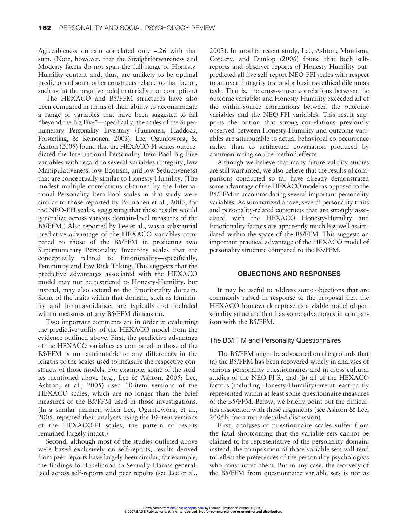Agreeableness domain correlated only –.26 with that sum. (Note, however, that the Straightforwardness and Modesty facets do not span the full range of Honesty-Humility content and, thus, are unlikely to be optimal predictors of some other constructs related to that factor, such as [at the negative pole] materialism or corruption.)

The HEXACO and B5/FFM structures have also been compared in terms of their ability to accommodate a range of variables that have been suggested to fall "beyond the Big Five"—specifically, the scales of the Supernumerary Personality Inventory (Paunonen, Haddock, Forsterling, & Keinonen, 2003). Lee, Ogunfowora, & Ashton (2005) found that the HEXACO-PI scales outpredicted the International Personality Item Pool Big Five variables with regard to several variables (Integrity, low Manipulativeness, low Egotism, and low Seductiveness) that are conceptually similar to Honesty-Humility. (The modest multiple correlations obtained by the International Personality Item Pool scales in that study were similar to those reported by Paunonen et al., 2003, for the NEO-FFI scales, suggesting that these results would generalize across various domain-level measures of the B5/FFM.) Also reported by Lee et al., was a substantial predictive advantage of the HEXACO variables compared to those of the B5/FFM in predicting two Supernumerary Personality Inventory scales that are conceptually related to Emotionality—specifically, Femininity and low Risk Taking. This suggests that the predictive advantages associated with the HEXACO model may not be restricted to Honesty-Humility, but instead, may also extend to the Emotionality domain. Some of the traits within that domain, such as femininity and harm-avoidance, are typically not included within measures of any B5/FFM dimension.

Two important comments are in order in evaluating the predictive utility of the HEXACO model from the evidence outlined above. First, the predictive advantage of the HEXACO variables as compared to those of the B5/FFM is not attributable to any differences in the lengths of the scales used to measure the respective constructs of those models. For example, some of the studies mentioned above (e.g., Lee & Ashton, 2005; Lee, Ashton, et al., 2005) used 10-item versions of the HEXACO scales, which are no longer than the brief measures of the B5/FFM used in those investigations. (In a similar manner, when Lee, Ogunfowora, et al., 2005, repeated their analyses using the 10-item versions of the HEXACO-PI scales, the pattern of results remained largely intact.)

Second, although most of the studies outlined above were based exclusively on self-reports, results derived from peer reports have largely been similar, for example, the findings for Likelihood to Sexually Harass generalized across self-reports and peer reports (see Lee et al., 2003). In another recent study, Lee, Ashton, Morrison, Cordery, and Dunlop (2006) found that both selfreports and observer reports of Honesty-Humility outpredicted all five self-report NEO-FFI scales with respect to an overt integrity test and a business ethical dilemmas task. That is, the cross-source correlations between the outcome variables and Honesty-Humility exceeded all of the within-source correlations between the outcome variables and the NEO-FFI variables. This result supports the notion that strong correlations previously observed between Honesty-Humility and outcome variables are attributable to actual behavioral co-occurrence rather than to artifactual covariation produced by common rating source method effects.

Although we believe that many future validity studies are still warranted, we also believe that the results of comparisons conducted so far have already demonstrated some advantage of the HEXACO model as opposed to the B5/FFM in accommodating several important personality variables. As summarized above, several personality traits and personality-related constructs that are strongly associated with the HEXACO Honesty-Humility and Emotionality factors are apparently much less well assimilated within the space of the B5/FFM. This suggests an important practical advantage of the HEXACO model of personality structure compared to the B5/FFM.

#### **OBJECTIONS AND RESPONSES**

It may be useful to address some objections that are commonly raised in response to the proposal that the HEXACO framework represents a viable model of personality structure that has some advantages in comparison with the B5/FFM.

#### The B5/FFM and Personality Questionnaires

The B5/FFM might be advocated on the grounds that (a) the B5/FFM has been recovered widely in analyses of various personality questionnaires and in cross-cultural studies of the NEO-PI-R, and (b) all of the HEXACO factors (including Honesty-Humility) are at least partly represented within at least some questionnaire measures of the B5/FFM. Below, we briefly point out the difficulties associated with these arguments (see Ashton & Lee, 2005b, for a more detailed discussion).

First, analyses of questionnaire scales suffer from the fatal shortcoming that the variable sets cannot be claimed to be representative of the personality domain; instead, the composition of those variable sets will tend to reflect the preferences of the personality psychologists who constructed them. But in any case, the recovery of the B5/FFM from questionnaire variable sets is not as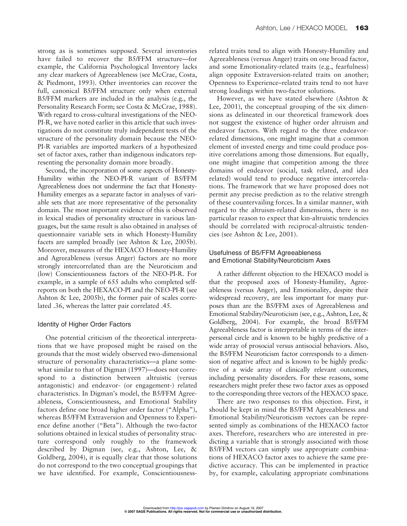strong as is sometimes supposed. Several inventories have failed to recover the B5/FFM structure—for example, the California Psychological Inventory lacks any clear markers of Agreeableness (see McCrae, Costa, & Piedmont, 1993). Other inventories can recover the full, canonical B5/FFM structure only when external B5/FFM markers are included in the analysis (e.g., the Personality Research Form; see Costa & McCrae, 1988). With regard to cross-cultural investigations of the NEO-PI-R, we have noted earlier in this article that such investigations do not constitute truly independent tests of the structure of the personality domain because the NEO-PI-R variables are imported markers of a hypothesized set of factor axes, rather than indigenous indicators representing the personality domain more broadly.

Second, the incorporation of some aspects of Honesty-Humility within the NEO-PI-R variant of B5/FFM Agreeableness does not undermine the fact that Honesty-Humility emerges as a separate factor in analyses of variable sets that are more representative of the personality domain. The most important evidence of this is observed in lexical studies of personality structure in various languages, but the same result is also obtained in analyses of questionnaire variable sets in which Honesty-Humility facets are sampled broadly (see Ashton & Lee, 2005b). Moreover, measures of the HEXACO Honesty-Humility and Agreeableness (versus Anger) factors are no more strongly intercorrelated than are the Neuroticism and (low) Conscientiousness factors of the NEO-PI-R. For example, in a sample of 655 adults who completed selfreports on both the HEXACO-PI and the NEO-PI-R (see Ashton & Lee, 2005b), the former pair of scales correlated .36, whereas the latter pair correlated .45.

#### Identity of Higher Order Factors

One potential criticism of the theoretical interpretations that we have proposed might be raised on the grounds that the most widely observed two-dimensional structure of personality characteristics—a plane somewhat similar to that of Digman (1997)—does not correspond to a distinction between altruistic (versus antagonistic) and endeavor- (or engagement-) related characteristics. In Digman's model, the B5/FFM Agreeableness, Conscientiousness, and Emotional Stability factors define one broad higher order factor ("Alpha"), whereas B5/FFM Extraversion and Openness to Experience define another ("Beta"). Although the two-factor solutions obtained in lexical studies of personality structure correspond only roughly to the framework described by Digman (see, e.g., Ashton, Lee, & Goldberg, 2004), it is equally clear that those solutions do not correspond to the two conceptual groupings that we have identified. For example, Conscientiousnessrelated traits tend to align with Honesty-Humility and Agreeableness (versus Anger) traits on one broad factor, and some Emotionality-related traits (e.g., fearfulness) align opposite Extraversion-related traits on another; Openness to Experience–related traits tend to not have strong loadings within two-factor solutions.

However, as we have stated elsewhere (Ashton & Lee, 2001), the conceptual grouping of the six dimensions as delineated in our theoretical framework does not suggest the existence of higher order altruism and endeavor factors. With regard to the three endeavorrelated dimensions, one might imagine that a common element of invested energy and time could produce positive correlations among those dimensions. But equally, one might imagine that competition among the three domains of endeavor (social, task related, and idea related) would tend to produce negative intercorrelations. The framework that we have proposed does not permit any precise prediction as to the relative strength of these countervailing forces. In a similar manner, with regard to the altruism-related dimensions, there is no particular reason to expect that kin-altruistic tendencies should be correlated with reciprocal-altruistic tendencies (see Ashton & Lee, 2001).

## Usefulness of B5/FFM Agreeableness and Emotional Stability/Neuroticism Axes

A rather different objection to the HEXACO model is that the proposed axes of Honesty-Humility, Agreeableness (versus Anger), and Emotionality, despite their widespread recovery, are less important for many purposes than are the B5/FFM axes of Agreeableness and Emotional Stability/Neuroticism (see, e.g., Ashton, Lee, & Goldberg, 2004). For example, the broad B5/FFM Agreeableness factor is interpretable in terms of the interpersonal circle and is known to be highly predictive of a wide array of prosocial versus antisocial behaviors. Also, the B5/FFM Neuroticism factor corresponds to a dimension of negative affect and is known to be highly predictive of a wide array of clinically relevant outcomes, including personality disorders. For these reasons, some researchers might prefer these two factor axes as opposed to the corresponding three vectors of the HEXACO space.

There are two responses to this objection. First, it should be kept in mind the B5/FFM Agreeableness and Emotional Stability/Neuroticism vectors can be represented simply as combinations of the HEXACO factor axes. Therefore, researchers who are interested in predicting a variable that is strongly associated with those B5/FFM vectors can simply use appropriate combinations of HEXACO factor axes to achieve the same predictive accuracy. This can be implemented in practice by, for example, calculating appropriate combinations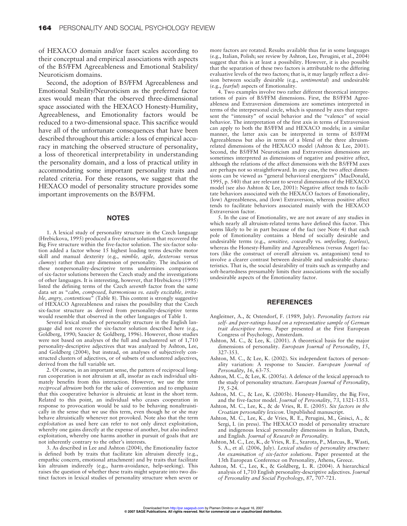of HEXACO domain and/or facet scales according to their conceptual and empirical associations with aspects of the B5/FFM Agreeableness and Emotional Stability/ Neuroticism domains.

Second, the adoption of B5/FFM Agreeableness and Emotional Stability/Neuroticism as the preferred factor axes would mean that the observed three-dimensional space associated with the HEXACO Honesty-Humility, Agreeableness, and Emotionality factors would be reduced to a two-dimensional space. This sacrifice would have all of the unfortunate consequences that have been described throughout this article: a loss of empirical accuracy in matching the observed structure of personality, a loss of theoretical interpretability in understanding the personality domain, and a loss of practical utility in accommodating some important personality traits and related criteria. For these reasons, we suggest that the HEXACO model of personality structure provides some important improvements on the B5/FFM.

#### **NOTES**

1. A lexical study of personality structure in the Czech language (Hrebickova, 1995) produced a five-factor solution that recovered the Big Five structure within the five-factor solution. The six-factor solution added a factor whose 15 highest loading terms describe motor skill and manual dexterity (e.g., *nimble, agile, dexterous* versus *clumsy*) rather than any dimension of personality. The inclusion of these nonpersonality-descriptive terms undermines comparisons of six-factor solutions between the Czech study and the investigations of other languages. It is interesting, however, that Hrebickova (1995) listed the defining terms of the Czech *seventh* factor from the same data set as "*calm, composed, harmonious vs. easily excitable, irritable, angry, contentious*" (Table 8). This content is strongly suggestive of HEXACO Agreeableness and raises the possibility that the Czech six-factor structure as derived from personality-descriptive terms would resemble that observed in the other languages of Table 1.

Several lexical studies of personality structure in the English language did not recover the six-factor solution described here (e.g., Goldberg, 1990; Saucier & Goldberg, 1996). However, those studies were not based on analyses of the full and unclustered set of 1,710 personality-descriptive adjectives that was analyzed by Ashton, Lee, and Goldberg (2004), but instead, on analyses of subjectively constructed clusters of adjectives, or of subsets of unclustered adjectives, derived from the full variable set.

2. Of course, in an important sense, the pattern of reciprocal longrun cooperation is not altruism at all, insofar as each individual ultimately benefits from this interaction. However, we use the term *reciprocal altruism* both for the sake of convention and to emphasize that this cooperative behavior is altruistic at least in the short term. Related to this point, an individual who ceases cooperation in response to provocation would be said to be behaving nonaltruistically in the sense that we use this term, even though he or she may behave altruistically whenever not provoked. Note also that the term *exploitation* as used here can refer to not only direct exploitation, whereby one gains directly at the expense of another, but also indirect exploitation, whereby one harms another in pursuit of goals that are not inherently contrary to the other's interests.

3. As described in Lee and Ashton (2004), the Emotionality factor is defined both by traits that facilitate kin altruism directly (e.g., empathic concern, emotional attachment) and by traits that facilitate kin altruism indirectly (e.g., harm-avoidance, help-seeking). This raises the question of whether these traits might separate into two distinct factors in lexical studies of personality structure when seven or

more factors are rotated. Results available thus far in some languages (e.g., Italian, Polish; see review by Ashton, Lee, Perugini, et al., 2004) suggest that this is at least a possibility. However, it is also possible that the separation of these two factors is attributable to the differing evaluative levels of the two factors; that is, it may largely reflect a division between socially desirable (e.g., *sentimental*) and undesirable (e.g., *fearful*) aspects of Emotionality.

4. Two examples involve two rather different theoretical interpretations of pairs of B5/FFM dimensions. First, the B5/FFM Agreeableness and Extraversion dimensions are sometimes interpreted in terms of the interpersonal circle, which is spanned by axes that represent the "intensity" of social behavior and the "valence" of social behavior. The interpretation of the first axis in terms of Extraversion can apply to both the B5/FFM and HEXACO models; in a similar manner, the latter axis can be interpreted in terms of B5/FFM Agreeableness but also in terms of a blend of the three altruismrelated dimensions of the HEXACO model (Ashton & Lee, 2001). Second, the B5/FFM Neuroticism and Extraversion dimensions are sometimes interpreted as dimensions of negative and positive affect, although the relations of the affect dimensions with the B5/FFM axes are perhaps not so straightforward. In any case, the two affect dimensions can be viewed as "general behavioral energizers" (MacDonald, 1995, p. 540) that are relevant to several dimensions of the HEXACO model (see also Ashton & Lee, 2001): Negative affect tends to facilitate behaviors associated with the HEXACO factors of Emotionality, (low) Agreeableness, and (low) Extraversion, whereas positive affect tends to facilitate behaviors associated mainly with the HEXACO Extraversion factor.

5. In the case of Emotionality, we are not aware of any studies in which nearly all altruism-related terms have defined this factor. This seems likely to be in part because of the fact (see Note 4) that each pole of Emotionality contains a blend of socially desirable and undesirable terms (e.g., *sensitive, cowardly* vs. *unfeeling, fearless*), whereas the Honesty-Humility and Agreeableness (versus Anger) factors (like the construct of overall altruism vs. antagonism) tend to involve a clearer contrast between desirable and undesirable characteristics. That is, the social desirability of traits such as sympathy and soft-heartedness presumably limits their associations with the socially undesirable aspects of the Emotionality factor.

#### **REFERENCES**

- Angleitner, A., & Ostendorf, F. (1989, July). *Personality factors via self- and peer-ratings based on a representative sample of German trait descriptive terms*. Paper presented at the First European Congress of Psychology, Amsterdam.
- Ashton, M. C., & Lee, K. (2001). A theoretical basis for the major dimensions of personality. *European Journal of Personality*, *15*, 327-353.
- Ashton, M. C., & Lee, K. (2002). Six independent factors of personality variation: A response to Saucier. *European Journal of Personality*, *16*, 63-75.
- Ashton, M. C., & Lee, K. (2005a). A defence of the lexical approach to the study of personality structure. *European Journal of Personality*, *19*, 5-24.
- Ashton, M. C., & Lee, K. (2005b). Honesty-Humility, the Big Five, and the five-factor model. *Journal of Personality*, *73*, 1321-1353.
- Ashton, M. C., Lee, K., & de Vries, R. E. (2005). *Six factors in the Croatian personality lexicon*. Unpublished manuscript.
- Ashton, M. C., Lee, K., de Vries, R. E., Perugini, M., Gnisci, A., & Sergi, I. (in press). The HEXACO model of personality structure and indigenous lexical personality dimensions in Italian, Dutch, and English. *Journal of Research in Personality*.
- Ashton, M. C., Lee, K., de Vries, R. E., Szarota, P., Marcus, B., Wasti, S. A., et al. (2006, July). *Lexical studies of personality structure: An examination of six-factor solutions*. Paper presented at the 13th European Conference on Personality, Athens, Greece.
- Ashton, M. C., Lee, K., & Goldberg, L. R. (2004). A hierarchical analysis of 1,710 English personality-descriptive adjectives. *Journal of Personality and Social Psychology*, *87*, 707-721.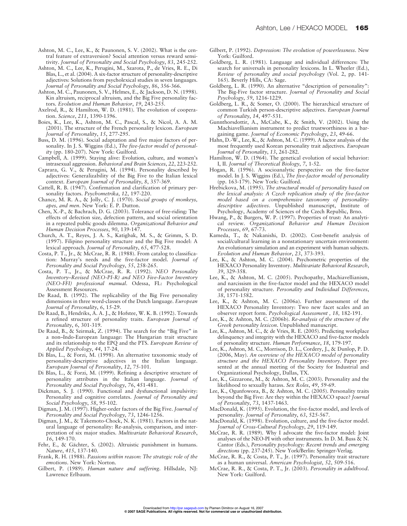- Ashton, M. C., Lee, K., & Paunonen, S. V. (2002). What is the central feature of extraversion? Social attention versus reward sensitivity. *Journal of Personality and Social Psychology*, *83*, 245-252.
- Ashton, M. C., Lee, K., Perugini, M., Szarota, P., de Vries, R. E., Di Blas, L., et al. (2004). A six-factor structure of personality-descriptive adjectives: Solutions from psycholexical studies in seven languages. *Journal of Personality and Social Psychology*, *86*, 356-366.
- Ashton, M. C., Paunonen, S. V., Helmes, E., & Jackson, D. N. (1998). Kin altruism, reciprocal altruism, and the Big Five personality factors. *Evolution and Human Behavior*, *19*, 243-255.
- Axelrod, R., & Hamilton, W. D. (1981). The evolution of cooperation. *Science*, *211*, 1390-1396.
- Boies, K., Lee, K., Ashton, M. C., Pascal, S., & Nicol, A. A. M. (2001). The structure of the French personality lexicon. *European Journal of Personality*, *15*, 277-295.
- Buss, D. M. (1996). Social adaptation and five major factors of personality. In J. S. Wiggins (Ed.), *The five-factor model of personality* (pp. 180-207). New York: Guilford.
- Campbell, A. (1999). Staying alive: Evolution, culture, and women's intrasexual aggression. *Behavioral and Brain Sciences*, *22*, 223-252.
- Caprara, G. V., & Perugini, M. (1994). Personality described by adjectives: Generalizability of the Big Five to the Italian lexical context. *European Journal of Personality*, *8*, 357-369.
- Cattell, R. B. (1947). Confirmation and clarification of primary personality factors. *Psychometrika*, *12*, 197-220.
- Chance, M. R. A., & Jolly, C. J. (1970). *Social groups of monkeys, apes, and men*. New York: E. P. Dutton.
- Chen, X.-P., & Bachrach, D. G. (2003). Tolerance of free-riding: The effects of defection size, defection pattern, and social orientation in a repeated public goods dilemma. *Organizational Behavior and Human Decision Processes*, *90*, 139-147.
- Church, A. T., Reyes, J. A. S., Katigbak, M. S., & Grimm, S. D. (1997). Filipino personality structure and the Big Five model: A lexical approach. *Journal of Personality*, *65*, 477-528.
- Costa, P. T., Jr., & McCrae, R. R. (1988). From catalog to classification: Murray's needs and the five-factor model. *Journal of Personality and Social Psychology*, *55*, 258-265.
- Costa, P. T., Jr., & McCrae, R. R. (1992). *NEO Personality Inventory–Revised (NEO-PI-R) and NEO Five-Factor Inventory (NEO-FFI) professional manual*. Odessa, FL: Psychological Assessment Resources.
- De Raad, B. (1992). The replicability of the Big Five personality dimensions in three word-classes of the Dutch language. *European Journal of Personality*, *6*, 15-29.
- De Raad, B., Hendriks, A. A. J., & Hofstee, W. K. B. (1992). Towards a refined structure of personality traits. *European Journal of Personality*, *6*, 301-319.
- De Raad, B., & Szirmak, Z. (1994). The search for the "Big Five" in a non–Indo-European language: The Hungarian trait structure and its relationship to the EPQ and the PTS. *European Review of Applied Psychology*, *44*, 17-24.
- Di Blas, L., & Forzi, M. (1998). An alternative taxonomic study of personality-descriptive adjectives in the Italian language. *European Journal of Personality*, *12*, 75-101.
- Di Blas, L., & Forzi, M. (1999). Refining a descriptive structure of personality attributes in the Italian language. *Journal of Personality and Social Psychology*, *76*, 451-481.
- Dickman, S. J. (1990). Functional and dysfunctional impulsivity: Personality and cognitive correlates. *Journal of Personality and Social Psychology*, *58*, 95-102.
- Digman, J. M. (1997). Higher-order factors of the Big Five. *Journal of Personality and Social Psychology*, *73*, 1246-1256.
- Digman, J. M., & Takemoto-Chock, N. K. (1981). Factors in the natural language of personality: Re-analysis, comparison, and interpretation of six major studies. *Multivariate Behavioral Research*, *16*, 149-170.
- Fehr, E., & Gächter, S. (2002). Altruistic punishment in humans. *Nature*, *415*, 137-140.
- Frank, R. H. (1988). *Passions within reason: The strategic role of the emotions*. New York: Norton.
- Gilbert, P. (1989). *Human nature and suffering*. Hillsdale, NJ: Lawrence Erlbaum.
- Gilbert, P. (1992). *Depression: The evolution of powerlessness*. New York: Guilford.
- Goldberg, L. R. (1981). Language and individual differences: The search for universals in personality lexicons. In L. Wheeler (Ed.), *Review of personality and social psychology* (Vol. 2, pp. 141- 165). Beverly Hills, CA: Sage.
- Goldberg, L. R. (1990). An alternative "description of personality": The Big-Five factor structure. *Journal of Personality and Social Psychology*, *59*, 1216-1229.
- Goldberg, L. R., & Somer, O. (2000). The hierarchical structure of common Turkish person-descriptive adjectives. *European Journal of Personality*, *14*, 497-531.
- Gunnthorsdottir, A., McCabe, K., & Smith, V. (2002). Using the Machiavellianism instrument to predict trustworthiness in a bargaining game. *Journal of Economic Psychology*, *23*, 49-66.
- Hahn, D.-W., Lee, K., & Ashton, M. C. (1999). A factor analysis of the most frequently used Korean personality trait adjectives. *European Journal of Personality*, *13*, 261-282.
- Hamilton, W. D. (1964). The genetical evolution of social behavior: I, II. *Journal of Theoretical Biology*, *7*, 1-52.
- Hogan, R. (1996). A socioanalytic perspective on the five-factor model. In J. S. Wiggins (Ed.), *The five-factor model of personality* (pp. 163-179). New York: Guilford.
- Hrebickova, M. (1995). *The structural model of personality based on the lexical analysis: A Czech replication study of the five-factor model based on a comprehensive taxonomy of personalitydescriptive adjectives*. Unpublished manuscript, Institute of Psychology, Academy of Sciences of the Czech Republic, Brno.
- Hwang, P., & Burgers, W. P. (1997). Properties of trust: An analytical review. *Organizational Behavior and Human Decision Processes*, *69*, 67-73.
- Kameda, T., & Nakanishi, D. (2002). Cost-benefit analysis of social/cultural learning in a nonstationary uncertain environment: An evolutionary simulation and an experiment with human subjects. *Evolution and Human Behavior*, *23*, 373-393.
- Lee, K., & Ashton, M. C. (2004). Psychometric properties of the HEXACO Personality Inventory. *Multivariate Behavioral Research*, *39*, 329-358.
- Lee, K., & Ashton, M. C. (2005). Psychopathy, Machiavellianism, and narcissism in the five-factor model and the HEXACO model of personality structure. *Personality and Individual Differences*, *38*, 1571-1582.
- Lee, K., & Ashton, M. C. (2006a). Further assessment of the HEXACO Personality Inventory: Two new facet scales and an observer report form. *Psychological Assessment , 18,* 182-191.
- Lee, K., & Ashton, M. C. (2006b). *Re-analysis of the structure of the Greek personality lexicon*. Unpublished manuscript.
- Lee, K., Ashton, M. C., & de Vries, R. E. (2005). Predicting workplace delinquency and integrity with the HEXACO and five-factor models of personality structure. *Human Performance*, *18*, 179-197.
- Lee, K., Ashton, M. C., Morrison, D. L., Cordery, J., & Dunlop, P. D. (2006, May). *An overview of the HEXACO model of personality structure and the HEXACO Personality Inventory*. Paper presented at the annual meeting of the Society for Industrial and Organizational Psychology, Dallas, TX.
- Lee, K., Gizzarone, M., & Ashton, M. C. (2003). Personality and the likelihood to sexually harass. *Sex Roles*, *49*, 59-69.
- Lee, K., Ogunfowora, B., & Ashton, M. C. (2005). Personality traits beyond the Big Five: Are they within the HEXACO space? *Journal of Personality*, *73*, 1437-1463.
- MacDonald, K. (1995). Evolution, the five-factor model, and levels of personality. *Journal of Personality*, *63*, 525-567.
- MacDonald, K. (1998). Evolution, culture, and the five-factor model. *Journal of Cross-Cultural Psychology*, *29*, 119-149.
- McCrae, R. R. (1989). Why I advocate the five-factor model: Joint analyses of the NEO-PI with other instruments. In D. M. Buss & N. Cantor (Eds.), *Personality psychology: Recent trends and emerging directions* (pp. 237-245). New York/Berlin: Springer-Verlag.
- McCrae, R. R., & Costa, P. T., Jr. (1997). Personality trait structure as a human universal. *American Psychologist*, *52*, 509-516.
- McCrae, R. R., & Costa, P. T., Jr. (2003). *Personality in adulthood*. New York: Guilford.